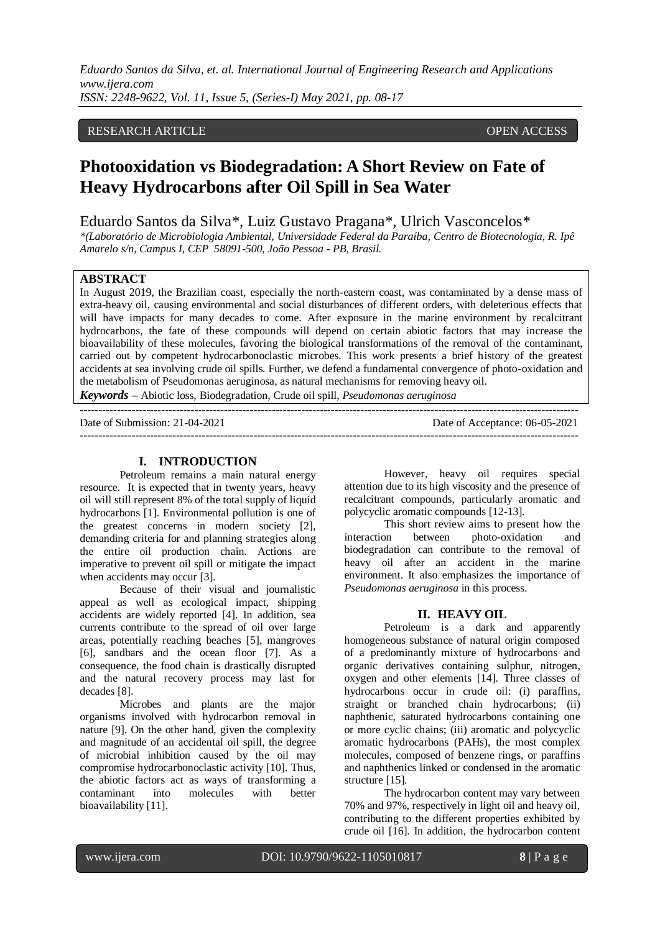*Eduardo Santos da Silva, et. al. International Journal of Engineering Research and Applications www.ijera.com ISSN: 2248-9622, Vol. 11, Issue 5, (Series-I) May 2021, pp. 08-17*

### RESEARCH ARTICLE OPEN ACCESS OPEN ACCESS

# **Photooxidation vs Biodegradation: A Short Review on Fate of Heavy Hydrocarbons after Oil Spill in Sea Water**

Eduardo Santos da Silva\*, Luiz Gustavo Pragana\*, Ulrich Vasconcelos\*

*\*(Laboratório de Microbiologia Ambiental, Universidade Federal da Paraíba, Centro de Biotecnologia, R. Ipê Amarelo s/n, Campus I, CEP 58091-500, João Pessoa - PB, Brasil.*

### **ABSTRACT**

In August 2019, the Brazilian coast, especially the north-eastern coast, was contaminated by a dense mass of extra-heavy oil, causing environmental and social disturbances of different orders, with deleterious effects that will have impacts for many decades to come. After exposure in the marine environment by recalcitrant hydrocarbons, the fate of these compounds will depend on certain abiotic factors that may increase the bioavailability of these molecules, favoring the biological transformations of the removal of the contaminant, carried out by competent hydrocarbonoclastic microbes. This work presents a brief history of the greatest accidents at sea involving crude oil spills. Further, we defend a fundamental convergence of photo-oxidation and the metabolism of Pseudomonas aeruginosa, as natural mechanisms for removing heavy oil.

*Keywords* **–** Abiotic loss, Biodegradation, Crude oil spill, *Pseudomonas aeruginosa* ---------------------------------------------------------------------------------------------------------------------------------------

Date of Submission: 21-04-2021 Date of Acceptance: 06-05-2021 ---------------------------------------------------------------------------------------------------------------------------------------

#### **I. INTRODUCTION**

Petroleum remains a main natural energy resource. It is expected that in twenty years, heavy oil will still represent 8% of the total supply of liquid hydrocarbons [1]. Environmental pollution is one of the greatest concerns in modern society [2], demanding criteria for and planning strategies along the entire oil production chain. Actions are imperative to prevent oil spill or mitigate the impact when accidents may occur [3].

Because of their visual and journalistic appeal as well as ecological impact, shipping accidents are widely reported [4]. In addition, sea currents contribute to the spread of oil over large areas, potentially reaching beaches [5], mangroves [6], sandbars and the ocean floor [7]. As a consequence, the food chain is drastically disrupted and the natural recovery process may last for decades [8].

Microbes and plants are the major organisms involved with hydrocarbon removal in nature [9]. On the other hand, given the complexity and magnitude of an accidental oil spill, the degree of microbial inhibition caused by the oil may compromise hydrocarbonoclastic activity [10]. Thus, the abiotic factors act as ways of transforming a contaminant into molecules with better bioavailability [11].

However, heavy oil requires special attention due to its high viscosity and the presence of recalcitrant compounds, particularly aromatic and polycyclic aromatic compounds [12-13].

This short review aims to present how the interaction between photo-oxidation and biodegradation can contribute to the removal of heavy oil after an accident in the marine environment. It also emphasizes the importance of *Pseudomonas aeruginosa* in this process.

#### **II. HEAVY OIL**

Petroleum is a dark and apparently homogeneous substance of natural origin composed of a predominantly mixture of hydrocarbons and organic derivatives containing sulphur, nitrogen, oxygen and other elements [14]. Three classes of hydrocarbons occur in crude oil: (i) paraffins, straight or branched chain hydrocarbons; (ii) naphthenic, saturated hydrocarbons containing one or more cyclic chains; (iii) aromatic and polycyclic aromatic hydrocarbons (PAHs), the most complex molecules, composed of benzene rings, or paraffins and naphthenics linked or condensed in the aromatic structure [15].

The hydrocarbon content may vary between 70% and 97%, respectively in light oil and heavy oil, contributing to the different properties exhibited by crude oil [16]. In addition, the hydrocarbon content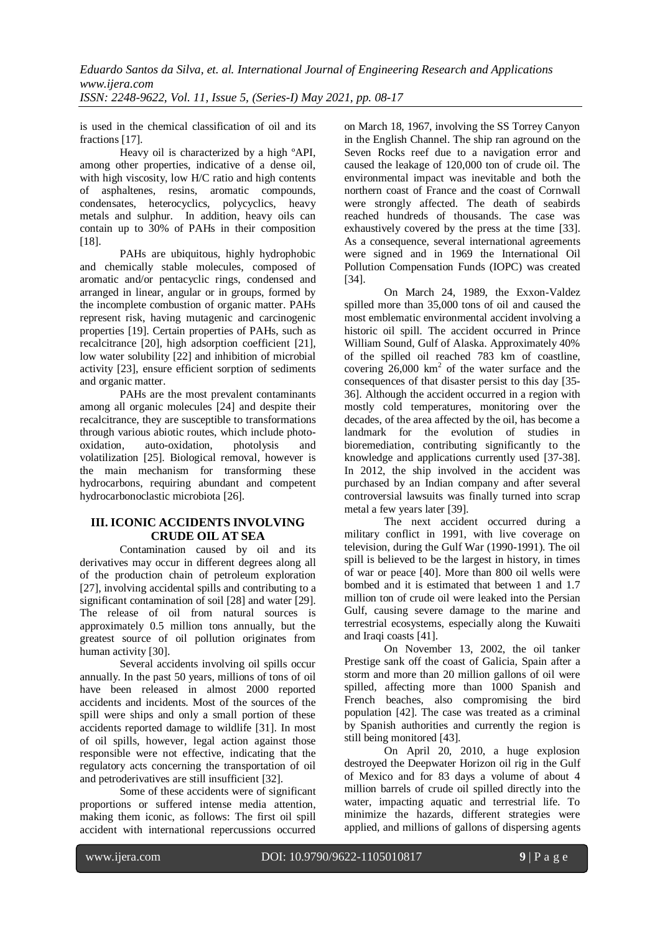is used in the chemical classification of oil and its fractions [17].

Heavy oil is characterized by a high ºAPI, among other properties, indicative of a dense oil, with high viscosity, low H/C ratio and high contents of asphaltenes, resins, aromatic compounds, condensates, heterocyclics, polycyclics, heavy metals and sulphur. In addition, heavy oils can contain up to 30% of PAHs in their composition [18].

PAHs are ubiquitous, highly hydrophobic and chemically stable molecules, composed of aromatic and/or pentacyclic rings, condensed and arranged in linear, angular or in groups, formed by the incomplete combustion of organic matter. PAHs represent risk, having mutagenic and carcinogenic properties [19]. Certain properties of PAHs, such as recalcitrance [20], high adsorption coefficient [21], low water solubility [22] and inhibition of microbial activity [23], ensure efficient sorption of sediments and organic matter.

PAHs are the most prevalent contaminants among all organic molecules [24] and despite their recalcitrance, they are susceptible to transformations through various abiotic routes, which include photo-<br>oxidation. auto-oxidation. photolysis and auto-oxidation, photolysis and volatilization [25]. Biological removal, however is the main mechanism for transforming these hydrocarbons, requiring abundant and competent hydrocarbonoclastic microbiota [26].

# **III. ICONIC ACCIDENTS INVOLVING CRUDE OIL AT SEA**

Contamination caused by oil and its derivatives may occur in different degrees along all of the production chain of petroleum exploration [27], involving accidental spills and contributing to a significant contamination of soil [28] and water [29]. The release of oil from natural sources is approximately 0.5 million tons annually, but the greatest source of oil pollution originates from human activity [30].

Several accidents involving oil spills occur annually. In the past 50 years, millions of tons of oil have been released in almost 2000 reported accidents and incidents. Most of the sources of the spill were ships and only a small portion of these accidents reported damage to wildlife [31]. In most of oil spills, however, legal action against those responsible were not effective, indicating that the regulatory acts concerning the transportation of oil and petroderivatives are still insufficient [32].

Some of these accidents were of significant proportions or suffered intense media attention, making them iconic, as follows: The first oil spill accident with international repercussions occurred

on March 18, 1967, involving the SS Torrey Canyon in the English Channel. The ship ran aground on the Seven Rocks reef due to a navigation error and caused the leakage of 120,000 ton of crude oil. The environmental impact was inevitable and both the northern coast of France and the coast of Cornwall were strongly affected. The death of seabirds reached hundreds of thousands. The case was exhaustively covered by the press at the time [33]. As a consequence, several international agreements were signed and in 1969 the International Oil Pollution Compensation Funds (IOPC) was created [34].

On March 24, 1989, the Exxon-Valdez spilled more than 35,000 tons of oil and caused the most emblematic environmental accident involving a historic oil spill. The accident occurred in Prince William Sound, Gulf of Alaska. Approximately 40% of the spilled oil reached 783 km of coastline, covering  $26,000 \text{ km}^2$  of the water surface and the consequences of that disaster persist to this day [35- 36]. Although the accident occurred in a region with mostly cold temperatures, monitoring over the decades, of the area affected by the oil, has become a landmark for the evolution of studies in bioremediation, contributing significantly to the knowledge and applications currently used [37-38]. In 2012, the ship involved in the accident was purchased by an Indian company and after several controversial lawsuits was finally turned into scrap metal a few years later [39].

The next accident occurred during a military conflict in 1991, with live coverage on television, during the Gulf War (1990-1991). The oil spill is believed to be the largest in history, in times of war or peace [40]. More than 800 oil wells were bombed and it is estimated that between 1 and 1.7 million ton of crude oil were leaked into the Persian Gulf, causing severe damage to the marine and terrestrial ecosystems, especially along the Kuwaiti and Iraqi coasts [41].

On November 13, 2002, the oil tanker Prestige sank off the coast of Galicia, Spain after a storm and more than 20 million gallons of oil were spilled, affecting more than 1000 Spanish and French beaches, also compromising the bird population [42]. The case was treated as a criminal by Spanish authorities and currently the region is still being monitored [43].

On April 20, 2010, a huge explosion destroyed the Deepwater Horizon oil rig in the Gulf of Mexico and for 83 days a volume of about 4 million barrels of crude oil spilled directly into the water, impacting aquatic and terrestrial life. To minimize the hazards, different strategies were applied, and millions of gallons of dispersing agents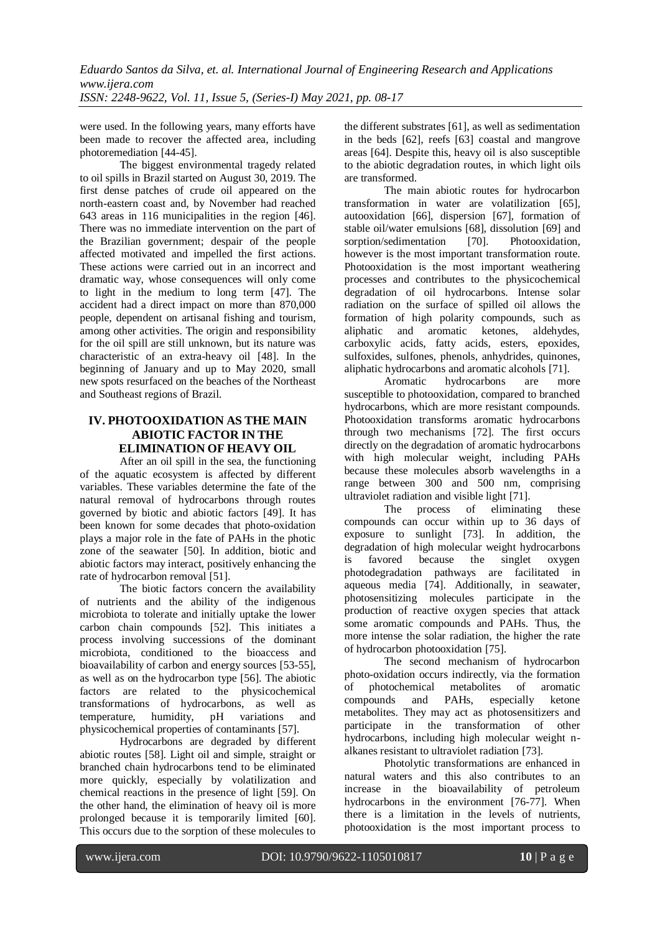were used. In the following years, many efforts have been made to recover the affected area, including photoremediation [44-45].

The biggest environmental tragedy related to oil spills in Brazil started on August 30, 2019. The first dense patches of crude oil appeared on the north-eastern coast and, by November had reached 643 areas in 116 municipalities in the region [46]. There was no immediate intervention on the part of the Brazilian government; despair of the people affected motivated and impelled the first actions. These actions were carried out in an incorrect and dramatic way, whose consequences will only come to light in the medium to long term [47]. The accident had a direct impact on more than 870,000 people, dependent on artisanal fishing and tourism, among other activities. The origin and responsibility for the oil spill are still unknown, but its nature was characteristic of an extra-heavy oil [48]. In the beginning of January and up to May 2020, small new spots resurfaced on the beaches of the Northeast and Southeast regions of Brazil.

## **IV. PHOTOOXIDATION AS THE MAIN ABIOTIC FACTOR IN THE ELIMINATION OF HEAVY OIL**

After an oil spill in the sea, the functioning of the aquatic ecosystem is affected by different variables. These variables determine the fate of the natural removal of hydrocarbons through routes governed by biotic and abiotic factors [49]. It has been known for some decades that photo-oxidation plays a major role in the fate of PAHs in the photic zone of the seawater [50]. In addition, biotic and abiotic factors may interact, positively enhancing the rate of hydrocarbon removal [51].

The biotic factors concern the availability of nutrients and the ability of the indigenous microbiota to tolerate and initially uptake the lower carbon chain compounds [52]. This initiates a process involving successions of the dominant microbiota, conditioned to the bioaccess and bioavailability of carbon and energy sources [53-55], as well as on the hydrocarbon type [56]. The abiotic factors are related to the physicochemical transformations of hydrocarbons, as well as temperature, humidity, pH variations and physicochemical properties of contaminants [57].

Hydrocarbons are degraded by different abiotic routes [58]. Light oil and simple, straight or branched chain hydrocarbons tend to be eliminated more quickly, especially by volatilization and chemical reactions in the presence of light [59]. On the other hand, the elimination of heavy oil is more prolonged because it is temporarily limited [60]. This occurs due to the sorption of these molecules to

the different substrates [61], as well as sedimentation in the beds [62], reefs [63] coastal and mangrove areas [64]. Despite this, heavy oil is also susceptible to the abiotic degradation routes, in which light oils are transformed.

The main abiotic routes for hydrocarbon transformation in water are volatilization [65], autooxidation [66], dispersion [67], formation of stable oil/water emulsions [68], dissolution [69] and sorption/sedimentation [70]. Photooxidation, however is the most important transformation route. Photooxidation is the most important weathering processes and contributes to the physicochemical degradation of oil hydrocarbons. Intense solar radiation on the surface of spilled oil allows the formation of high polarity compounds, such as aliphatic and aromatic ketones, aldehydes, carboxylic acids, fatty acids, esters, epoxides, sulfoxides, sulfones, phenols, anhydrides, quinones, aliphatic hydrocarbons and aromatic alcohols [71].

Aromatic hydrocarbons are more susceptible to photooxidation, compared to branched hydrocarbons, which are more resistant compounds. Photooxidation transforms aromatic hydrocarbons through two mechanisms [72]. The first occurs directly on the degradation of aromatic hydrocarbons with high molecular weight, including PAHs because these molecules absorb wavelengths in a range between 300 and 500 nm, comprising ultraviolet radiation and visible light [71].

The process of eliminating these compounds can occur within up to 36 days of exposure to sunlight [73]. In addition, the degradation of high molecular weight hydrocarbons is favored because the singlet oxygen photodegradation pathways are facilitated in aqueous media [74]. Additionally, in seawater, photosensitizing molecules participate in the production of reactive oxygen species that attack some aromatic compounds and PAHs. Thus, the more intense the solar radiation, the higher the rate of hydrocarbon photooxidation [75].

The second mechanism of hydrocarbon photo-oxidation occurs indirectly, via the formation of photochemical metabolites of aromatic compounds and PAHs, especially ketone metabolites. They may act as photosensitizers and participate in the transformation of other hydrocarbons, including high molecular weight nalkanes resistant to ultraviolet radiation [73].

Photolytic transformations are enhanced in natural waters and this also contributes to an increase in the bioavailability of petroleum hydrocarbons in the environment [76-77]. When there is a limitation in the levels of nutrients, photooxidation is the most important process to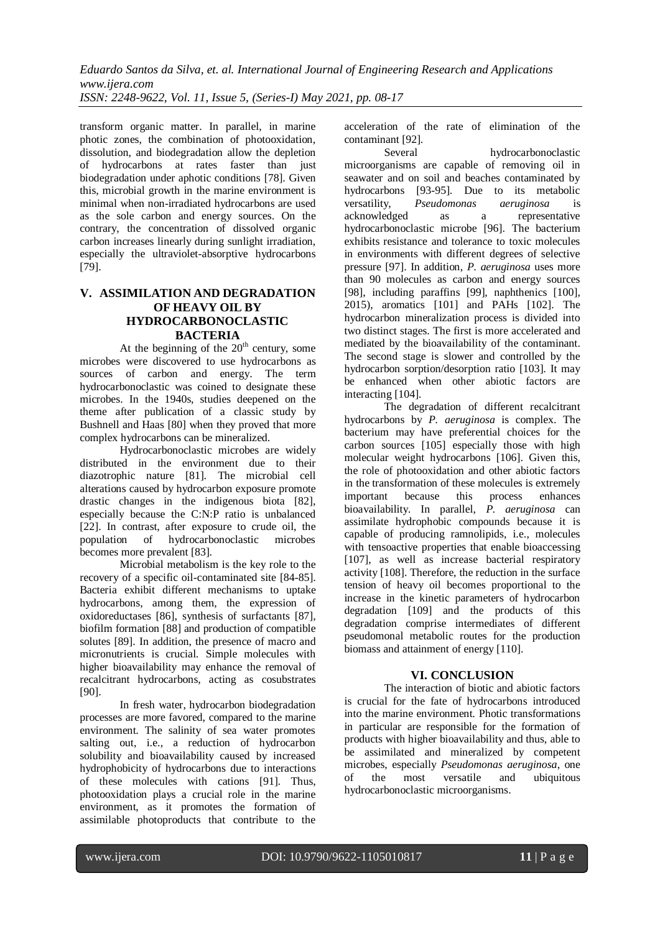*Eduardo Santos da Silva, et. al. International Journal of Engineering Research and Applications www.ijera.com ISSN: 2248-9622, Vol. 11, Issue 5, (Series-I) May 2021, pp. 08-17*

transform organic matter. In parallel, in marine photic zones, the combination of photooxidation, dissolution, and biodegradation allow the depletion of hydrocarbons at rates faster than just biodegradation under aphotic conditions [78]. Given this, microbial growth in the marine environment is minimal when non-irradiated hydrocarbons are used as the sole carbon and energy sources. On the contrary, the concentration of dissolved organic carbon increases linearly during sunlight irradiation, especially the ultraviolet-absorptive hydrocarbons [79].

# **V. ASSIMILATION AND DEGRADATION OF HEAVY OIL BY HYDROCARBONOCLASTIC BACTERIA**

At the beginning of the  $20<sup>th</sup>$  century, some microbes were discovered to use hydrocarbons as sources of carbon and energy. The term hydrocarbonoclastic was coined to designate these microbes. In the 1940s, studies deepened on the theme after publication of a classic study by Bushnell and Haas [80] when they proved that more complex hydrocarbons can be mineralized.

Hydrocarbonoclastic microbes are widely distributed in the environment due to their diazotrophic nature [81]. The microbial cell alterations caused by hydrocarbon exposure promote drastic changes in the indigenous biota [82], especially because the C:N:P ratio is unbalanced [22]. In contrast, after exposure to crude oil, the population of hydrocarbonoclastic microbes becomes more prevalent [83].

Microbial metabolism is the key role to the recovery of a specific oil-contaminated site [84-85]. Bacteria exhibit different mechanisms to uptake hydrocarbons, among them, the expression of oxidoreductases [86], synthesis of surfactants [87], biofilm formation [88] and production of compatible solutes [89]. In addition, the presence of macro and micronutrients is crucial. Simple molecules with higher bioavailability may enhance the removal of recalcitrant hydrocarbons, acting as cosubstrates [90].

In fresh water, hydrocarbon biodegradation processes are more favored, compared to the marine environment. The salinity of sea water promotes salting out, i.e., a reduction of hydrocarbon solubility and bioavailability caused by increased hydrophobicity of hydrocarbons due to interactions of these molecules with cations [91]. Thus, photooxidation plays a crucial role in the marine environment, as it promotes the formation of assimilable photoproducts that contribute to the

acceleration of the rate of elimination of the contaminant [92].

Several hydrocarbonoclastic microorganisms are capable of removing oil in seawater and on soil and beaches contaminated by hydrocarbons [93-95]. Due to its metabolic<br>versatility. *Pseudomonas aeruginosa* is versatility, *Pseudomonas aeruginosa* is acknowledged as a representative hydrocarbonoclastic microbe [96]. The bacterium exhibits resistance and tolerance to toxic molecules in environments with different degrees of selective pressure [97]. In addition, *P. aeruginosa* uses more than 90 molecules as carbon and energy sources [98], including paraffins [99], naphthenics [100], 2015), aromatics [101] and PAHs [102]. The hydrocarbon mineralization process is divided into two distinct stages. The first is more accelerated and mediated by the bioavailability of the contaminant. The second stage is slower and controlled by the hydrocarbon sorption/desorption ratio [103]. It may be enhanced when other abiotic factors are interacting [104].

The degradation of different recalcitrant hydrocarbons by *P. aeruginosa* is complex. The bacterium may have preferential choices for the carbon sources [105] especially those with high molecular weight hydrocarbons [106]. Given this, the role of photooxidation and other abiotic factors in the transformation of these molecules is extremely important because this process enhances bioavailability. In parallel, *P. aeruginosa* can assimilate hydrophobic compounds because it is capable of producing ramnolipids, i.e., molecules with tensoactive properties that enable bioaccessing [107], as well as increase bacterial respiratory activity [108]. Therefore, the reduction in the surface tension of heavy oil becomes proportional to the increase in the kinetic parameters of hydrocarbon degradation [109] and the products of this degradation comprise intermediates of different pseudomonal metabolic routes for the production biomass and attainment of energy [110].

## **VI. CONCLUSION**

The interaction of biotic and abiotic factors is crucial for the fate of hydrocarbons introduced into the marine environment. Photic transformations in particular are responsible for the formation of products with higher bioavailability and thus, able to be assimilated and mineralized by competent microbes, especially *Pseudomonas aeruginosa*, one of the most versatile and ubiquitous hydrocarbonoclastic microorganisms.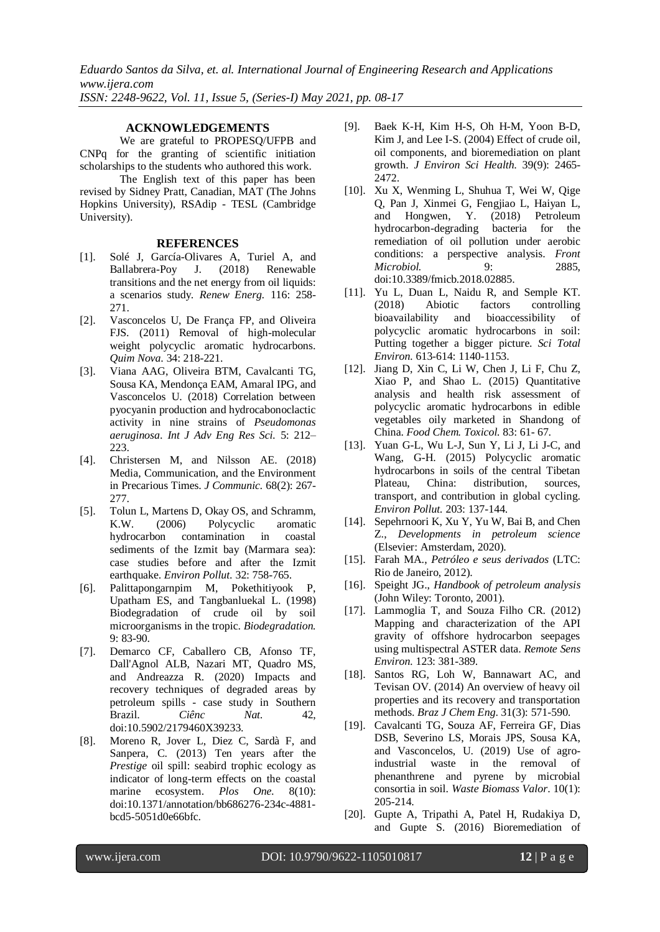*Eduardo Santos da Silva, et. al. International Journal of Engineering Research and Applications www.ijera.com*

*ISSN: 2248-9622, Vol. 11, Issue 5, (Series-I) May 2021, pp. 08-17*

# **ACKNOWLEDGEMENTS**

We are grateful to PROPESQ/UFPB and CNPq for the granting of scientific initiation scholarships to the students who authored this work.

The English text of this paper has been revised by Sidney Pratt, Canadian, MAT (The Johns Hopkins University), RSAdip - TESL (Cambridge University).

#### **REFERENCES**

- [1]. Solé J, García-Olivares A, Turiel A, and Ballabrera-Poy J. (2018) Renewable transitions and the net energy from oil liquids: a scenarios study. *Renew Energ.* 116: 258- 271.
- [2]. Vasconcelos U, De França FP, and Oliveira FJS. (2011) Removal of high-molecular weight polycyclic aromatic hydrocarbons. *Quim Nova*. 34: 218-221.
- [3]. Viana AAG, Oliveira BTM, Cavalcanti TG, Sousa KA, Mendonça EAM, Amaral IPG, and Vasconcelos U. (2018) Correlation between pyocyanin production and hydrocabonoclactic activity in nine strains of *Pseudomonas aeruginosa*. *Int J Adv Eng Res Sci.* 5: 212– 223.
- [4]. Christersen M, and Nilsson AE. (2018) Media, Communication, and the Environment in Precarious Times. *J Communic.* 68(2): 267- 277.
- [5]. Tolun L, Martens D, Okay OS, and Schramm, K.W. (2006) Polycyclic aromatic hydrocarbon contamination in coastal sediments of the Izmit bay (Marmara sea): case studies before and after the Izmit earthquake. *Environ Pollut*. 32: 758-765.
- [6]. Palittapongarnpim M, Pokethitiyook P, Upatham ES, and Tangbanluekal L. (1998) Biodegradation of crude oil by soil microorganisms in the tropic. *Biodegradation.*  9: 83-90.
- [7]. Demarco CF, Caballero CB, Afonso TF, Dall'Agnol ALB, Nazari MT, Quadro MS, and Andreazza R. (2020) Impacts and recovery techniques of degraded areas by petroleum spills - case study in Southern Brazil. *Ciênc Nat.* 42, doi:10.5902/2179460X39233.
- [8]. Moreno R, Jover L, Diez C, Sardà F, and Sanpera, C. (2013) Ten years after the *Prestige* oil spill: seabird trophic ecology as indicator of long-term effects on the coastal marine ecosystem. *Plos One*. 8(10): doi:10.1371/annotation/bb686276-234c-4881 bcd5-5051d0e66bfc.
- [9]. Baek K-H, Kim H-S, Oh H-M, Yoon B-D, Kim J, and Lee I-S. (2004) Effect of crude oil, oil components, and bioremediation on plant growth. *J Environ Sci Health*. 39(9): 2465- 2472.
- [10]. Xu X, Wenming L, Shuhua T, Wei W, Qige Q, Pan J, Xinmei G, Fengjiao L, Haiyan L, and Hongwen, Y. (2018) Petroleum hydrocarbon-degrading bacteria for the remediation of oil pollution under aerobic conditions: a perspective analysis. *Front Microbiol.* 9: 2885, doi[:10.3389/fmicb.2018.02885.](https://doi.org/10.3389/fmicb.2018.02885)
- [11]. Yu L, Duan L, Naidu R, and Semple KT. (2018) Abiotic factors controlling bioavailability and bioaccessibility of polycyclic aromatic hydrocarbons in soil: Putting together a bigger picture. *Sci Total Environ.* 613-614: 1140-1153.
- [12]. Jiang D, Xin C, Li W, Chen J, Li F, Chu Z, Xiao P, and Shao L. (2015) Quantitative analysis and health risk assessment of polycyclic aromatic hydrocarbons in edible vegetables oily marketed in Shandong of China. *Food Chem. Toxicol.* 83: 61- 67.
- [13]. Yuan G-L, Wu L-J, Sun Y, Li J, Li J-C, and Wang, G-H. (2015) Polycyclic aromatic hydrocarbons in soils of the central Tibetan Plateau, China: distribution, sources, transport, and contribution in global cycling. *Environ Pollut.* 203: 137-144.
- [14]. Sepehrnoori K, Xu Y, Yu W, Bai B, and Chen Z., *Developments in petroleum science* (Elsevier: Amsterdam, 2020).
- [15]. Farah MA., *Petróleo e seus derivados* (LTC: Rio de Janeiro, 2012).
- [16]. Speight JG., *Handbook of petroleum analysis* (John Wiley: Toronto, 2001).
- [17]. Lammoglia T, and [Souza Filho](https://www.sciencedirect.com/science/article/abs/pii/S0034425712001587#!) CR. (2012) Mapping and characterization of the API gravity of offshore hydrocarbon seepages using multispectral ASTER data. *Remote Sens Environ.* 123: 381-389.
- [18]. Santos RG, Loh W, Bannawart AC, and Tevisan OV. (2014) An overview of heavy oil properties and its recovery and transportation methods. *Braz J Chem Eng*. 31(3): 571-590.
- [19]. Cavalcanti TG, Souza AF, Ferreira GF, Dias DSB, Severino LS, Morais JPS, Sousa KA, and Vasconcelos, U. (2019) Use of agroindustrial waste in the removal of phenanthrene and pyrene by microbial consortia in soil. *Waste Biomass Valor*. 10(1): 205-214.
- [20]. Gupte A, Tripathi A, Patel H, Rudakiya D, and Gupte S. (2016) Bioremediation of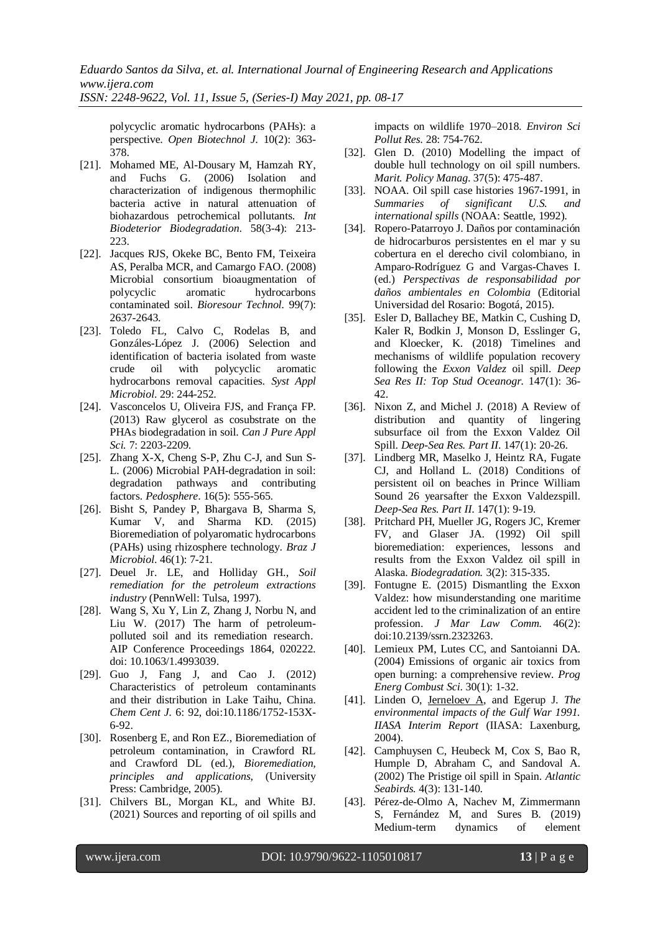*ISSN: 2248-9622, Vol. 11, Issue 5, (Series-I) May 2021, pp. 08-17*

polycyclic aromatic hydrocarbons (PAHs): a perspective. *Open Biotechnol J.* 10(2): 363- 378.

- [21]. Mohamed ME, Al-Dousary M, Hamzah RY, and Fuchs G. (2006) Isolation and characterization of indigenous thermophilic bacteria active in natural attenuation of biohazardous petrochemical pollutants. *Int Biodeterior Biodegradation*. 58(3-4): 213- 223.
- [22]. Jacques RJS, Okeke BC, Bento FM, Teixeira AS, Peralba MCR, and Camargo FAO. (2008) Microbial consortium bioaugmentation of polycyclic aromatic hydrocarbons contaminated soil. *Bioresour Technol.* 99(7): 2637-2643.
- [23]. Toledo FL, Calvo C, Rodelas B, and Gonzáles-López J. (2006) Selection and identification of bacteria isolated from waste crude oil with polycyclic aromatic hydrocarbons removal capacities. *Syst Appl Microbiol*. 29: 244-252.
- [24]. Vasconcelos U, Oliveira FJS, and França FP. (2013) Raw glycerol as cosubstrate on the PHAs biodegradation in soil. *Can J Pure Appl Sci.* 7: 2203-2209.
- [25]. Zhang X-X, Cheng S-P, Zhu C-J, and Sun S-L. (2006) Microbial PAH-degradation in soil: degradation pathways and contributing factors. *Pedosphere*. 16(5): 555-565.
- [26]. Bisht S, Pandey P, Bhargava B, Sharma S, Kumar V, and Sharma KD. (2015) Bioremediation of polyaromatic hydrocarbons (PAHs) using rhizosphere technology. *Braz J Microbiol*. 46(1): 7-21.
- [27]. Deuel Jr. LE, and Holliday GH., *Soil remediation for the petroleum extractions industry* (PennWell: Tulsa, 1997).
- [28]. Wang S, Xu Y, Lin Z, Zhang J, Norbu N, and Liu W. (2017) The harm of petroleumpolluted soil and its remediation research. AIP Conference Proceedings 1864, 020222. doi: 10.1063/1.4993039.
- [29]. Guo J, Fang J, and Cao J. (2012) Characteristics of petroleum contaminants and their distribution in Lake Taihu, China. *Chem Cent J.* 6: 92, do[i:10.1186/1752-153X-](https://dx.doi.org/10.1186%2F1752-153X-6-92)[6-92.](https://dx.doi.org/10.1186%2F1752-153X-6-92)
- [30]. Rosenberg E, and Ron EZ., Bioremediation of petroleum contamination, in Crawford RL and Crawford DL (ed.), *Bioremediation, principles and applications*, (University Press: Cambridge, 2005).
- [31]. Chilvers BL, Morgan KL, and White BJ. (2021) Sources and reporting of oil spills and

impacts on wildlife 1970–2018. *Environ Sci Pollut Res.* 28: 754-762.

- [32]. Glen D. (2010) Modelling the impact of double hull technology on oil spill numbers. *Marit. Policy Manag*. 37(5): 475-487.
- [33]. NOAA. Oil spill case histories 1967-1991, in *Summaries of significant U.S. and international spills* (NOAA: Seattle, 1992).
- [34]. Ropero-Patarroyo J. Daños por contaminación de hidrocarburos persistentes en el mar y su cobertura en el derecho civil colombiano, in Amparo-Rodríguez G and Vargas-Chaves I. (ed.) *Perspectivas de responsabilidad por daños ambientales en Colombia* (Editorial Universidad del Rosario: Bogotá, 2015).
- [35]. Esler D, Ballachey [BE, Matkin](https://www.sciencedirect.com/science/article/pii/S0967064516303502#!) C, Cushing D, Kaler R, Bodkin J, Monson [D, Esslinger](https://www.sciencedirect.com/science/article/pii/S0967064516303502#!) G, and [Kloecker,](https://www.sciencedirect.com/science/article/pii/S0967064516303502#!) K. (2018) Timelines and mechanisms of wildlife population recovery following the *Exxon Valdez* oil spill. *[Deep](https://www.sciencedirect.com/journal/deep-sea-research-part-ii-topical-studies-in-oceanography)  [Sea Res II: Top Stud Oceanogr.](https://www.sciencedirect.com/journal/deep-sea-research-part-ii-topical-studies-in-oceanography)* 147(1): 36- 42.
- [36]. Nixon Z, and Michel J. (2018) A Review of distribution and quantity of lingering subsurface oil from the Exxon Valdez Oil Spill. *Deep-Sea Res. Part II*. 147(1): 20-26.
- [37]. Lindberg MR, Maselko J, Heintz RA, Fugate CJ, and Holland L. (2018) Conditions of persistent oil on beaches in Prince William Sound 26 yearsafter the Exxon Valdezspill. *Deep-Sea Res. Part II*. 147(1): 9-19.
- [38]. Pritchard PH, Mueller JG, Rogers JC, Kremer FV, and Glaser JA. (1992) Oil spill bioremediation: experiences, lessons and results from the Exxon Valdez oil spill in Alaska. *Biodegradation.* 3(2): 315-335.
- [39]. Fontugne E. (2015) Dismantling the Exxon Valdez: how misunderstanding one maritime accident led to the criminalization of an entire profession. *J Mar Law Comm.* 46(2): doi:10.2139/ssrn.2323263.
- [40]. Lemieux PM, Lutes CC, and Santoianni DA. (2004) Emissions of organic air toxics from open burning: a comprehensive review. *Prog Energ Combust Sci*. 30(1): 1-32.
- [41]. Linden O, [Jerneloev](http://pure.iiasa.ac.at/view/iiasa/1984.html) A, and Egerup J. *The environmental impacts of the Gulf War 1991. IIASA Interim Report* (IIASA: Laxenburg, 2004).
- [42]. Camphuysen C, Heubeck M, Cox S, Bao R, Humple D, Abraham C, and Sandoval A. (2002) The Pristige oil spill in Spain. *Atlantic Seabirds.* 4(3): 131-140.
- [43]. Pérez-de-Olmo A, Nachev M, Zimmermann S, Fernández M, and Sures B. (2019) Medium-term dynamics of element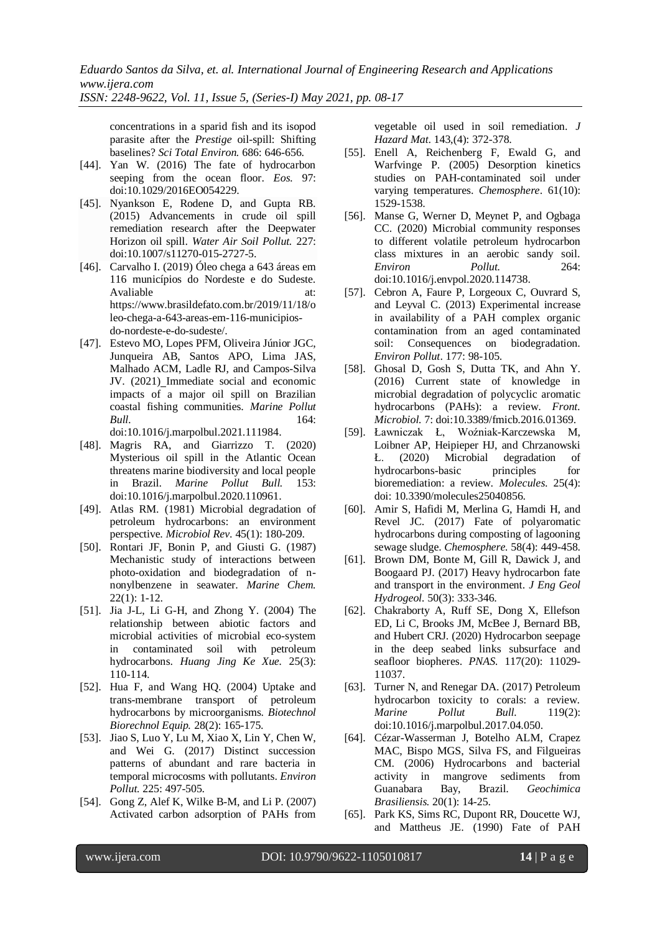*Eduardo Santos da Silva, et. al. International Journal of Engineering Research and Applications www.ijera.com*

*ISSN: 2248-9622, Vol. 11, Issue 5, (Series-I) May 2021, pp. 08-17*

concentrations in a sparid fish and its isopod parasite after the *Prestige* oil-spill: Shifting baselines? *Sci Total Environ.* 686: 646-656.

- [44]. Yan W. (2016) The fate of hydrocarbon seeping from the ocean floor. *Eos.* 97: doi[:10.1029/2016EO054229.](https://doi.org/10.1029/2016EO054229)
- [45]. Nyankson E, Rodene D, and Gupta RB. (2015) Advancements in crude oil spill remediation research after the Deepwater Horizon oil spill. *Water Air Soil Pollut.* 227: doi:10.1007/s11270-015-2727-5.
- [46]. Carvalho I. (2019) Óleo chega a 643 áreas em 116 municípios do Nordeste e do Sudeste. Avaliable at: https://www.brasildefato.com.br/2019/11/18/o leo-chega-a-643-areas-em-116-municipiosdo-nordeste-e-do-sudeste/.
- [47]. Estevo MO, Lopes [PFM, Oliveira Júnior](https://www.sciencedirect.com/science/article/abs/pii/S0025326X21000187#!) JGC, Junqueira AB, Santos [APO, Lima](https://www.sciencedirect.com/science/article/abs/pii/S0025326X21000187#!) JAS, Malhado ACM, Ladle RJ, and [Campos-Silva](https://www.sciencedirect.com/science/article/abs/pii/S0025326X21000187#!) JV. [\(2021\)](https://www.sciencedirect.com/science/article/abs/pii/S0025326X21000187#!) Immediate social and economic impacts of a major oil spill on Brazilian coastal fishing communities. *Marine Pollut Bull.* 164: doi[:10.1016/j.marpolbul.2021.111984.](https://doi.org/10.1016/j.marpolbul.2021.111984)
- [48]. Magris RA, and Giarrizzo T. (2020) Mysterious oil spill in the Atlantic Ocean threatens marine biodiversity and local people in Brazil. *Marine Pollut Bull.* 153: doi[:10.1016/j.marpolbul.2020.110961.](https://doi.org/10.1016/j.marpolbul.2020.110961)
- [49]. Atlas RM. (1981) Microbial degradation of petroleum hydrocarbons: an environment perspective. *Microbiol Rev*. 45(1): 180-209.
- [50]. Rontari JF, Bonin P, and Giusti G. (1987) Mechanistic study of interactions between photo-oxidation and biodegradation of nnonylbenzene in seawater. *Marine Chem.*  22(1): 1-12.
- [51]. Jia J-L, Li G-H, and Zhong Y. (2004) The relationship between abiotic factors and microbial activities of microbial eco-system in contaminated soil with petroleum hydrocarbons. *Huang Jing Ke Xue.* 25(3): 110-114.
- [52]. Hua F, and Wang HQ. (2004) Uptake and trans-membrane transport of petroleum hydrocarbons by microorganisms. *Biotechnol Biorechnol Equip.* 28(2): 165-175.
- [53]. Jiao S, Luo Y, Lu M, Xiao X, Lin Y, Chen W, and Wei G. (2017) Distinct succession patterns of abundant and rare bacteria in temporal microcosms with pollutants. *Environ Pollut.* 225: 497-505.
- [54]. Gong Z, Alef K, Wilke B-M, and Li P. (2007) Activated carbon adsorption of PAHs from

vegetable oil used in soil remediation. *J Hazard Mat*. 143,(4): 372-378.

- [55]. Enell A, Reichenberg F, Ewald G, and Warfvinge P. (2005) Desorption kinetics studies on PAH-contaminated soil under varying temperatures. *Chemosphere*. 61(10): 1529-1538.
- [56]. Manse G, Werner [D, Meynet](https://www.sciencedirect.com/science/article/abs/pii/S0269749119362451#!) P, and Ogbaga [CC. \(](https://www.sciencedirect.com/science/article/abs/pii/S0269749119362451#!)2020) Microbial community responses to different volatile petroleum hydrocarbon class mixtures in an aerobic sandy soil. *Environ Pollut.* 264: doi[:10.1016/j.envpol.2020.114738.](https://doi.org/10.1016/j.envpol.2020.114738)
- [57]. Cebron A, Faure P, Lorgeoux C, Ouvrard S, and Leyval C. (2013) Experimental increase in availability of a PAH complex organic contamination from an aged contaminated soil: Consequences on biodegradation. *Environ Pollut*. 177: 98-105.
- [58]. Ghosal D, Gosh S, Dutta TK, and Ahn Y. (2016) Current state of knowledge in microbial degradation of polycyclic aromatic hydrocarbons (PAHs): a review. *Front. Microbiol.* 7: doi:10.3389/fmicb.2016.01369.
- [59]. Ławniczak Ł, Woźniak-Karczewska M, Loibner AP, Heipieper HJ, and Chrzanowski Ł. (2020) Microbial degradation of hydrocarbons-basic principles for bioremediation: a review. *Molecules*. 25(4): doi: 10.3390/molecules25040856.
- [60]. Amir S, Hafidi M, Merlina G, Hamdi H, and Revel JC. (2017) Fate of polyaromatic hydrocarbons during composting of lagooning sewage sludge. *Chemosphere.* 58(4): 449-458.
- [61]. Brown DM, Bonte M, Gill R, Dawick J, and Boogaard PJ. (2017) Heavy hydrocarbon fate and transport in the environment. *J Eng Geol Hydrogeol.* 50(3): 333-346.
- [62]. Chakraborty A, Ruff SE, Dong X, Ellefson ED, Li C, Brooks JM, McBee J, Bernard BB, and Hubert CRJ. (2020) Hydrocarbon seepage in the deep seabed links subsurface and seafloor biopheres. *PNAS.* 117(20): 11029- 11037.
- [63]. Turner N, and Renegar DA. (2017) Petroleum hydrocarbon toxicity to corals: a review. *Marine Pollut Bull.* 119(2): doi:10.1016/j.marpolbul.2017.04.050.
- [64]. Cézar-Wasserman J, Botelho ALM, Crapez MAC, Bispo MGS, Silva FS, and Filgueiras CM. (2006) Hydrocarbons and bacterial activity in mangrove sediments from Guanabara Bay, Brazil. *Geochimica Brasiliensis.* 20(1): 14-25.
- [65]. Park KS, Sims RC, Dupont RR, Doucette WJ, and Mattheus JE. (1990) Fate of PAH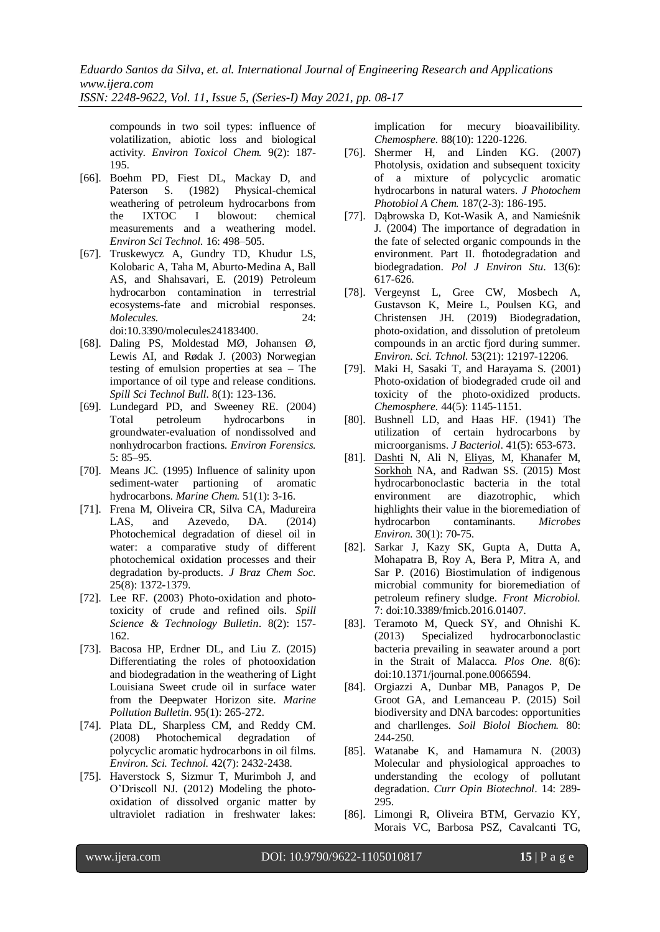*Eduardo Santos da Silva, et. al. International Journal of Engineering Research and Applications www.ijera.com*

*ISSN: 2248-9622, Vol. 11, Issue 5, (Series-I) May 2021, pp. 08-17*

compounds in two soil types: influence of volatilization, abiotic loss and biological activity. *Environ Toxicol Chem.* 9(2): 187- 195.

- [66]. Boehm PD, Fiest DL, Mackay D, and Paterson S. (1982) Physical-chemical weathering of petroleum hydrocarbons from the IXTOC I blowout: chemical measurements and a weathering model. *Environ Sci Technol.* 16: 498–505.
- [67]. Truskewycz A, Gundry TD, Khudur LS, Kolobaric A, Taha M, Aburto-Medina A, Ball AS, and Shahsavari, E. (2019) Petroleum hydrocarbon contamination in terrestrial ecosystems-fate and microbial responses. *Molecules.* 24: doi:10.3390/molecules24183400.
- [68]. Daling PS, Moldestad MØ, Johansen Ø, Lewis AI, and Rødak J. (2003) Norwegian testing of emulsion properties at sea – The importance of oil type and release conditions. *Spill Sci Technol Bull.* 8(1): 123-136.
- [69]. Lundegard PD, and Sweeney RE. (2004) Total petroleum hydrocarbons in groundwater-evaluation of nondissolved and nonhydrocarbon fractions. *Environ Forensics.*  5: 85–95.
- [70]. Means JC. (1995) Influence of salinity upon sediment-water partioning of aromatic hydrocarbons. *Marine Chem.* 51(1): 3-16.
- [71]. Frena M, Oliveira CR, Silva CA, Madureira LAS, and Azevedo, DA. (2014) Photochemical degradation of diesel oil in water: a comparative study of different photochemical oxidation processes and their degradation by-products. *J Braz Chem Soc.*  25(8): 1372-1379.
- [72]. Lee RF. (2003) Photo-oxidation and phototoxicity of crude and refined oils. *Spill Science & Technology Bulletin*. 8(2): 157- 162.
- [73]. Bacosa HP, Erdner DL, and Liu Z. (2015) Differentiating the roles of photooxidation and biodegradation in the weathering of Light Louisiana Sweet crude oil in surface water from the Deepwater Horizon site. *Marine Pollution Bulletin*. 95(1): 265-272.
- [74]. Plata DL, Sharpless CM, and Reddy CM. (2008) Photochemical degradation of polycyclic aromatic hydrocarbons in oil films. *Environ. Sci. Technol.* 42(7): 2432-2438.
- [75]. Haverstock S, Sizmur T, Murimboh J, and O'Driscoll NJ. (2012) Modeling the photooxidation of dissolved organic matter by ultraviolet radiation in freshwater lakes:

implication for mecury bioavailibility. *Chemosphere.* 88(10): 1220-1226.

- [76]. Shermer H, and Linden KG. (2007) Photolysis, oxidation and subsequent toxicity of a mixture of polycyclic aromatic hydrocarbons in natural waters. *J Photochem Photobiol A Chem.* 187(2-3): 186-195.
- [77]. Dąbrowska D, Kot-Wasik A, and Namieśnik J. (2004) The importance of degradation in the fate of selected organic compounds in the environment. Part II. fhotodegradation and biodegradation. *Pol J Environ Stu*. 13(6): 617-626.
- [78]. Vergeynst L, Gree CW, Mosbech A, Gustavson K, Meire L, Poulsen KG, and Christensen JH. (2019) Biodegradation, photo-oxidation, and dissolution of pretoleum compounds in an arctic fjord during summer. *Environ. Sci. Tchnol.* 53(21): 12197-12206.
- [79]. Maki H, Sasaki T, and Harayama S. (2001) Photo-oxidation of biodegraded crude oil and toxicity of the photo-oxidized products. *Chemosphere.* 44(5): 1145-1151.
- [80]. Bushnell LD, and Haas HF. (1941) The utilization of certain hydrocarbons by microorganisms. *J Bacteriol*. 41(5): 653-673.
- [81]. [Dashti](https://www.ncbi.nlm.nih.gov/pubmed/?term=Dashti%20N%5BAuthor%5D&cauthor=true&cauthor_uid=25740314) N, [Ali](https://www.ncbi.nlm.nih.gov/pubmed/?term=Ali%20N%5BAuthor%5D&cauthor=true&cauthor_uid=25740314) N, [Eliyas,](https://www.ncbi.nlm.nih.gov/pubmed/?term=Eliyas%20M%5BAuthor%5D&cauthor=true&cauthor_uid=25740314) M, [Khanafer](https://www.ncbi.nlm.nih.gov/pubmed/?term=Khanafer%20M%5BAuthor%5D&cauthor=true&cauthor_uid=25740314) M, [Sorkhoh](https://www.ncbi.nlm.nih.gov/pubmed/?term=Sorkhoh%20NA%5BAuthor%5D&cauthor=true&cauthor_uid=25740314) NA, and [Radwan](https://www.ncbi.nlm.nih.gov/pubmed/?term=Radwan%20SS%5BAuthor%5D&cauthor=true&cauthor_uid=25740314) SS. (2015) Most hydrocarbonoclastic bacteria in the total environment are diazotrophic, which highlights their value in the bioremediation of hydrocarbon contaminants. *Microbes Environ.* 30(1): 70-75.
- [82]. Sarkar J, Kazy SK, Gupta A, Dutta A, Mohapatra B, Roy A, Bera P, Mitra A, and [Sar](https://www.frontiersin.org/people/u/101909) P. (2016) Biostimulation of indigenous microbial community for bioremediation of petroleum refinery sludge. *Front Microbiol.*  7: do[i:10.3389/fmicb.2016.01407.](https://doi.org/10.3389/fmicb.2016.01407)
- [83]. [Teramoto](https://www.ncbi.nlm.nih.gov/pubmed/?term=Teramoto%20M%5BAuthor%5D&cauthor=true&cauthor_uid=23824553) M, [Queck](https://www.ncbi.nlm.nih.gov/pubmed/?term=Queck%20SY%5BAuthor%5D&cauthor=true&cauthor_uid=23824553) SY, and [Ohnishi](https://www.ncbi.nlm.nih.gov/pubmed/?term=Ohnishi%20K%5BAuthor%5D&cauthor=true&cauthor_uid=23824553) K. (2013) Specialized hydrocarbonoclastic bacteria prevailing in seawater around a port in the Strait of Malacca. *Plos One.* 8(6): doi[:10.1371/journal.pone.0066594.](https://dx.doi.org/10.1371%2Fjournal.pone.0066594)
- [84]. Orgiazzi A, Dunbar MB, Panagos P, De Groot GA, and Lemanceau P. (2015) Soil biodiversity and DNA barcodes: opportunities and charllenges. *Soil Biolol Biochem.* 80: 244-250.
- [85]. Watanabe K, and Hamamura N. (2003) Molecular and physiological approaches to understanding the ecology of pollutant degradation. *Curr Opin Biotechnol*. 14: 289- 295.
- [86]. Limongi R, Oliveira BTM, Gervazio KY, Morais VC, Barbosa PSZ, Cavalcanti TG,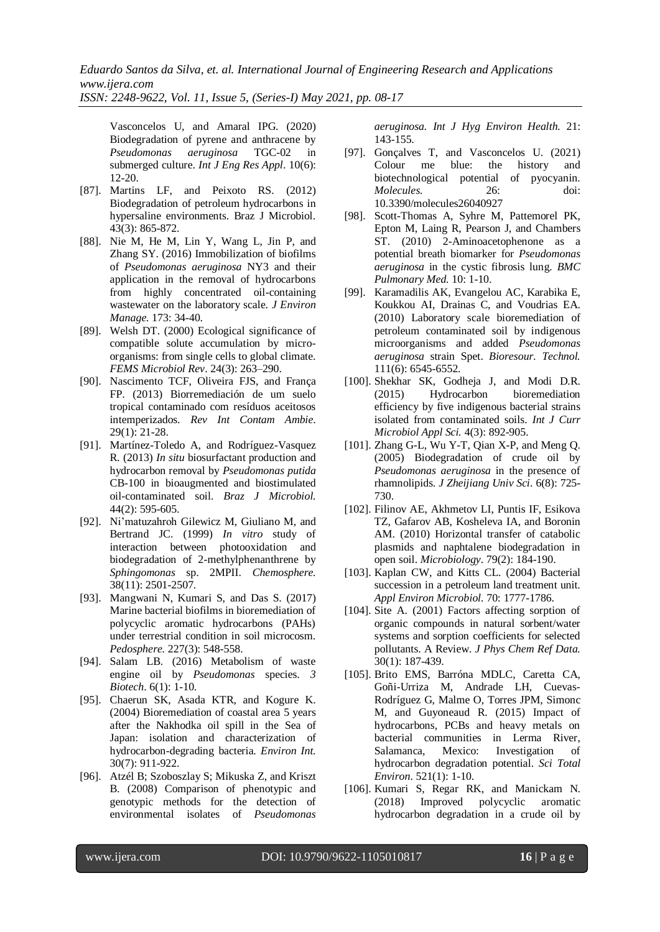*ISSN: 2248-9622, Vol. 11, Issue 5, (Series-I) May 2021, pp. 08-17*

Vasconcelos U, and Amaral IPG. (2020) Biodegradation of pyrene and anthracene by *Pseudomonas aeruginosa* TGC-02 in submerged culture. *Int J Eng Res Appl*. 10(6): 12-20.

- [87]. Martins LF, and Peixoto RS. (2012) Biodegradation of petroleum hydrocarbons in hypersaline environments. Braz J Microbiol. 43(3): 865-872.
- [88]. Nie [M, He](https://pubmed.ncbi.nlm.nih.gov/?term=Nie+M&cauthor_id=26963906) M, [Lin](https://pubmed.ncbi.nlm.nih.gov/?term=Lin+Y&cauthor_id=26963906) Y, [Wang](https://pubmed.ncbi.nlm.nih.gov/?term=Wang+L&cauthor_id=26963906) L, [Jin](https://pubmed.ncbi.nlm.nih.gov/?term=Jin+P&cauthor_id=26963906) P, and [Zhang](https://pubmed.ncbi.nlm.nih.gov/?term=Zhang+S&cauthor_id=26963906) SY. (2016) Immobilization of biofilms of *Pseudomonas aeruginosa* NY3 and their application in the removal of hydrocarbons from highly concentrated oil-containing wastewater on the laboratory scale. *J Environ Manage.* 173: 34-40.
- [89]. Welsh DT. (2000) Ecological significance of compatible solute accumulation by microorganisms: from single cells to global climate. *FEMS Microbiol Rev*. 24(3): 263–290.
- [90]. Nascimento TCF, Oliveira FJS, and França FP. (2013) Biorremediación de um suelo tropical contaminado com resíduos aceitosos intemperizados. *Rev Int Contam Ambie*. 29(1): 21-28.
- [91]. Martínez-Toledo A, and Rodríguez-Vasquez R. (2013) *In situ* biosurfactant production and hydrocarbon removal by *Pseudomonas putida* CB-100 in bioaugmented and biostimulated oil-contaminated soil. *Braz J Microbiol.*  44(2): 595-605.
- [92]. Ni'matuzahroh Gilewicz M, Giuliano M, and Bertrand JC. (1999) *In vitro* study of interaction between photooxidation and biodegradation of 2-methylphenanthrene by *Sphingomonas* sp. 2MPII. *Chemosphere.*  38(11): 2501-2507.
- [93]. Mangwani N, Kumari S, and Das S. (2017) Marine bacterial biofilms in bioremediation of polycyclic aromatic hydrocarbons (PAHs) under terrestrial condition in soil microcosm. *Pedosphere.* 227(3): 548-558.
- [94]. Salam LB. (2016) Metabolism of waste engine oil by *Pseudomonas* species. *3 Biotech*. 6(1): 1-10.
- [95]. Chaerun SK, Asada KTR, and Kogure K. (2004) Bioremediation of coastal area 5 years after the Nakhodka oil spill in the Sea of Japan: isolation and characterization of hydrocarbon-degrading bacteria. *Environ Int.*  30(7): 911-922.
- [96]. Atzél B; Szoboszlay S; Mikuska Z, and Kriszt B. (2008) Comparison of phenotypic and genotypic methods for the detection of environmental isolates of *Pseudomonas*

*aeruginosa. Int J Hyg Environ Health.* 21: 143-155.

- [97]. Gonçalves T, and Vasconcelos U. (2021) Colour me blue: the history and biotechnological potential of pyocyanin. *Molecules.* 26: doi: 10.3390/molecules26040927
- [98]. Scott-Thomas A, Syhre M, Pattemorel PK, Epton M, Laing R, Pearson J, and Chambers ST. (2010) 2-Aminoacetophenone as a potential breath biomarker for *Pseudomonas aeruginosa* in the cystic fibrosis lung. *BMC Pulmonary Med.* 10: 1-10.
- [99]. Karamadilis AK, Evangelou AC, Karabika E, Koukkou AI, Drainas C, and Voudrias EA. (2010) Laboratory scale bioremediation of petroleum contaminated soil by indigenous microorganisms and added *Pseudomonas aeruginosa* strain Spet. *Bioresour. Technol.*  111(6): 6545-6552.
- [100]. Shekhar SK, Godheja J, and Modi D.R. (2015) Hydrocarbon bioremediation efficiency by five indigenous bacterial strains isolated from contaminated soils. *Int J Curr Microbiol Appl Sci.* 4(3): 892-905.
- [101]. Zhang G-L, Wu Y-T, Qian X-P, and Meng Q. (2005) Biodegradation of crude oil by *Pseudomonas aeruginosa* in the presence of rhamnolipids. *J Zheijiang Univ Sci*. 6(8): 725- 730.
- [102]. Filinov AE, Akhmetov LI, Puntis IF, Esikova TZ, Gafarov AB, Kosheleva IA, and Boronin AM. (2010) Horizontal transfer of catabolic plasmids and naphtalene biodegradation in open soil. *Microbiology*. 79(2): 184-190.
- [103]. Kaplan CW, and Kitts CL. (2004) Bacterial succession in a petroleum land treatment unit. *Appl Environ Microbiol.* 70: 1777-1786.
- [104]. Site A. (2001) Factors affecting sorption of organic compounds in natural sorbent/water systems and sorption coefficients for selected pollutants. A Review. *J Phys Chem Ref Data.* 30(1): 187-439.
- [105]. Brito EMS, Barróna MDLC, Caretta CA, Goñi-Urriza M, Andrade LH, Cuevas-Rodríguez G, Malme O, Torres JPM, Simonc M, and Guyoneaud R. (2015) Impact of hydrocarbons, PCBs and heavy metals on bacterial communities in Lerma River, Salamanca, Mexico: Investigation of hydrocarbon degradation potential. *Sci Total Environ*. 521(1): 1-10.
- [106]. Kumari S, Regar RK, and Manickam N. (2018) Improved polycyclic aromatic hydrocarbon degradation in a crude oil by